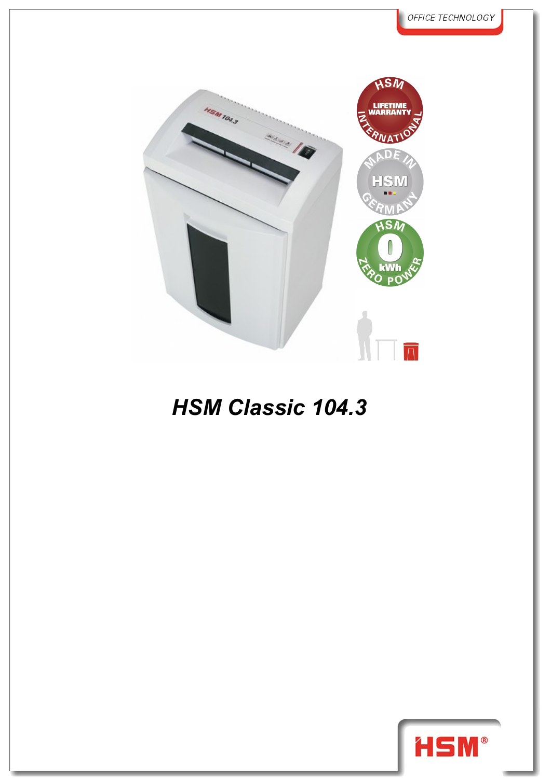

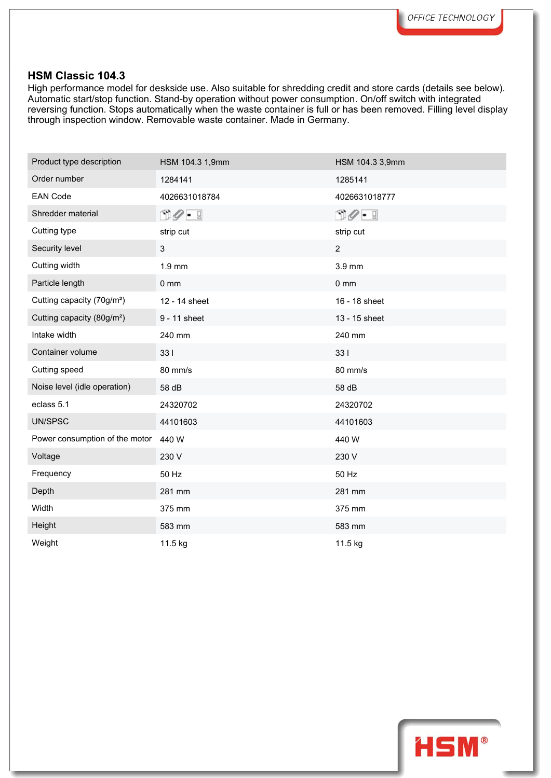High performance model for deskside use. Also suitable for shredding credit and store cards (details see below). Automatic start/stop function. Stand-by operation without power consumption. On/off switch with integrated reversing function. Stops automatically when the waste container is full or has been removed. Filling level display through inspection window. Removable waste container. Made in Germany.

| Product type description               | HSM 104.3 1,9mm              | HSM 104.3 3,9mm |
|----------------------------------------|------------------------------|-----------------|
| Order number                           | 1284141                      | 1285141         |
| <b>EAN Code</b>                        | 4026631018784                | 4026631018777   |
| Shredder material                      | $\mathbb{C}Q$ - $\mathbb{C}$ | $\circled{10}$  |
| Cutting type                           | strip cut                    | strip cut       |
| Security level                         | 3                            | $\overline{2}$  |
| Cutting width                          | 1.9 mm                       | 3.9 mm          |
| Particle length                        | $0 \text{ mm}$               | $0 \text{ mm}$  |
| Cutting capacity (70g/m <sup>2</sup> ) | 12 - 14 sheet                | 16 - 18 sheet   |
| Cutting capacity (80g/m <sup>2</sup> ) | 9 - 11 sheet                 | 13 - 15 sheet   |
| Intake width                           | 240 mm                       | 240 mm          |
| Container volume                       | 331                          | 331             |
| Cutting speed                          | 80 mm/s                      | 80 mm/s         |
| Noise level (idle operation)           | 58 dB                        | 58 dB           |
| eclass 5.1                             | 24320702                     | 24320702        |
| UN/SPSC                                | 44101603                     | 44101603        |
| Power consumption of the motor         | 440 W                        | 440 W           |
| Voltage                                | 230 V                        | 230 V           |
| Frequency                              | 50 Hz                        | 50 Hz           |
| Depth                                  | 281 mm                       | 281 mm          |
| Width                                  | 375 mm                       | 375 mm          |
| Height                                 | 583 mm                       | 583 mm          |
| Weight                                 | 11.5 kg                      | 11.5 kg         |

**HSM®**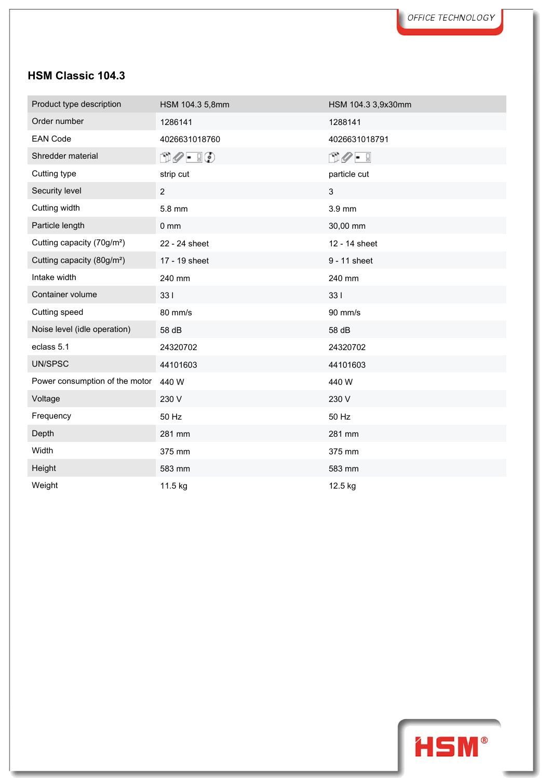| Product type description               | HSM 104.3 5,8mm               | HSM 104.3 3,9x30mm         |  |
|----------------------------------------|-------------------------------|----------------------------|--|
| Order number                           | 1286141                       | 1288141                    |  |
| <b>EAN Code</b>                        | 4026631018760                 | 4026631018791              |  |
| Shredder material                      | $\Box \oslash - \Box \oslash$ | $\mathbb{C}Q - \mathbb{R}$ |  |
| Cutting type                           | strip cut                     | particle cut               |  |
| Security level                         | $\overline{2}$                | 3                          |  |
| Cutting width                          | 5.8 mm                        | 3.9 mm                     |  |
| Particle length                        | $0 \, \text{mm}$              | 30,00 mm                   |  |
| Cutting capacity (70g/m <sup>2</sup> ) | 22 - 24 sheet                 | 12 - 14 sheet              |  |
| Cutting capacity (80g/m <sup>2</sup> ) | 17 - 19 sheet                 | 9 - 11 sheet               |  |
| Intake width                           | 240 mm                        | 240 mm                     |  |
| Container volume                       | 331                           | 331                        |  |
| Cutting speed                          | 80 mm/s                       | 90 mm/s                    |  |
| Noise level (idle operation)           | 58 dB                         | 58 dB                      |  |
| eclass 5.1                             | 24320702                      | 24320702                   |  |
| UN/SPSC                                | 44101603                      | 44101603                   |  |
| Power consumption of the motor         | 440 W                         | 440 W                      |  |
| Voltage                                | 230 V                         | 230 V                      |  |
| Frequency                              | 50 Hz                         | 50 Hz                      |  |
| Depth                                  | 281 mm                        | 281 mm                     |  |
| Width                                  | 375 mm                        | 375 mm                     |  |
| Height                                 | 583 mm                        | 583 mm                     |  |
| Weight                                 | 11.5 kg                       | 12.5 kg                    |  |